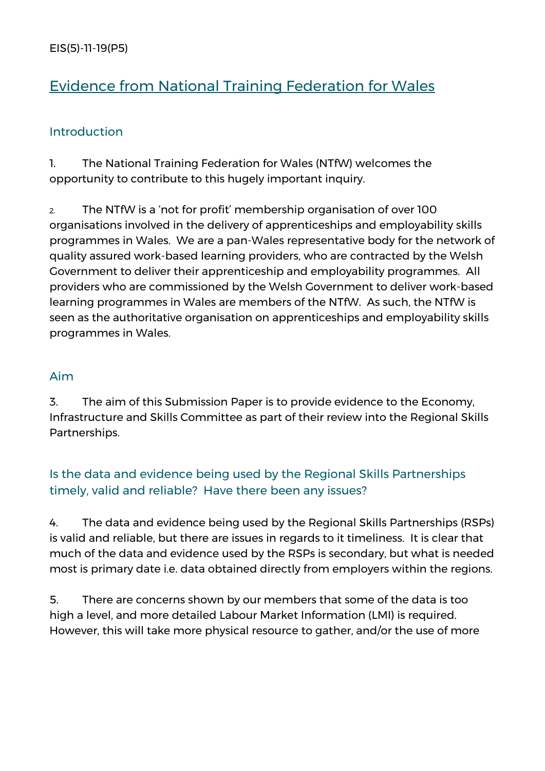EIS(5)-11-19(P5)

# Evidence from National Training Federation for Wales

#### **Introduction**

1. The National Training Federation for Wales (NTfW) welcomes the opportunity to contribute to this hugely important inquiry.

2. The NTfW is a 'not for profit' membership organisation of over 100 organisations involved in the delivery of apprenticeships and employability skills programmes in Wales. We are a pan-Wales representative body for the network of quality assured work-based learning providers, who are contracted by the Welsh Government to deliver their apprenticeship and employability programmes. All providers who are commissioned by the Welsh Government to deliver work-based learning programmes in Wales are members of the NTfW. As such, the NTfW is seen as the authoritative organisation on apprenticeships and employability skills programmes in Wales.

#### Aim

3. The aim of this Submission Paper is to provide evidence to the Economy, Infrastructure and Skills Committee as part of their review into the Regional Skills Partnerships.

# Is the data and evidence being used by the Regional Skills Partnerships timely, valid and reliable? Have there been any issues?

4. The data and evidence being used by the Regional Skills Partnerships (RSPs) is valid and reliable, but there are issues in regards to it timeliness. It is clear that much of the data and evidence used by the RSPs is secondary, but what is needed most is primary date i.e. data obtained directly from employers within the regions.

5. There are concerns shown by our members that some of the data is too high a level, and more detailed Labour Market Information (LMI) is required. However, this will take more physical resource to gather, and/or the use of more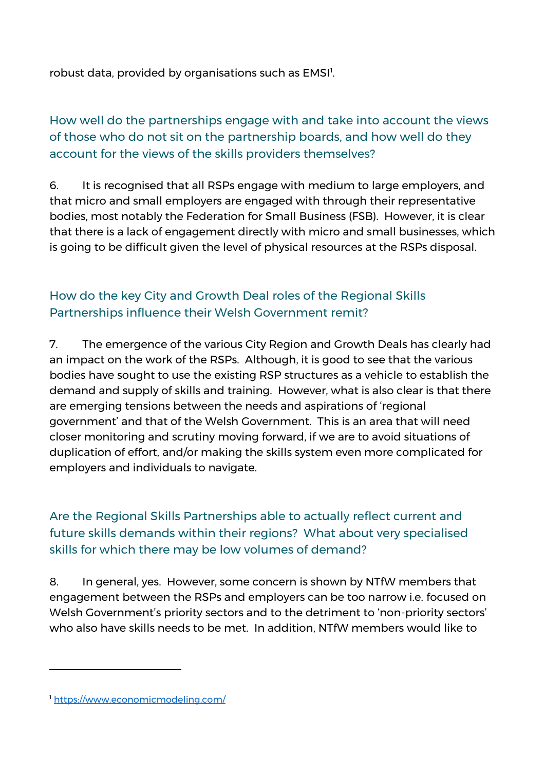robust data, provided by organisations such as EMSI<sup>1</sup>.

How well do the partnerships engage with and take into account the views of those who do not sit on the partnership boards, and how well do they account for the views of the skills providers themselves?

6. It is recognised that all RSPs engage with medium to large employers, and that micro and small employers are engaged with through their representative bodies, most notably the Federation for Small Business (FSB). However, it is clear that there is a lack of engagement directly with micro and small businesses, which is going to be difficult given the level of physical resources at the RSPs disposal.

# How do the key City and Growth Deal roles of the Regional Skills Partnerships influence their Welsh Government remit?

7. The emergence of the various City Region and Growth Deals has clearly had an impact on the work of the RSPs. Although, it is good to see that the various bodies have sought to use the existing RSP structures as a vehicle to establish the demand and supply of skills and training. However, what is also clear is that there are emerging tensions between the needs and aspirations of 'regional government' and that of the Welsh Government. This is an area that will need closer monitoring and scrutiny moving forward, if we are to avoid situations of duplication of effort, and/or making the skills system even more complicated for employers and individuals to navigate.

# Are the Regional Skills Partnerships able to actually reflect current and future skills demands within their regions? What about very specialised skills for which there may be low volumes of demand?

8. In general, yes. However, some concern is shown by NTfW members that engagement between the RSPs and employers can be too narrow i.e. focused on Welsh Government's priority sectors and to the detriment to 'non-priority sectors' who also have skills needs to be met. In addition, NTfW members would like to

-

<sup>1</sup> <https://www.economicmodeling.com/>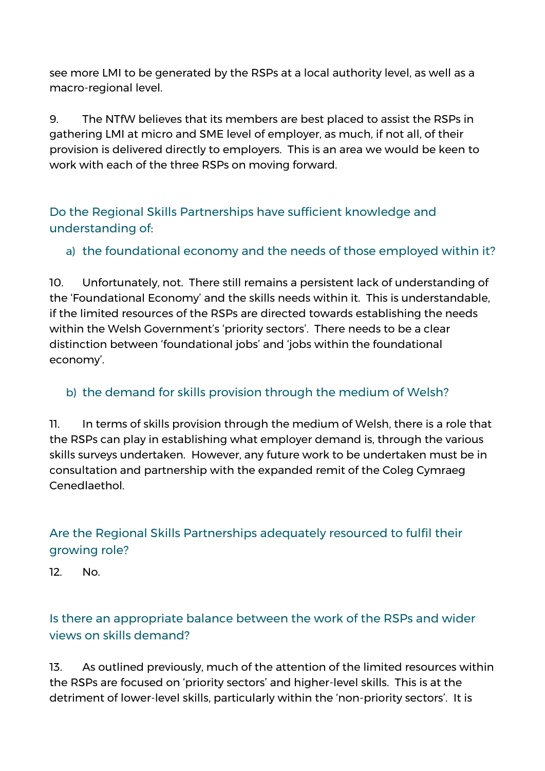see more LMI to be generated by the RSPs at a local authority level, as well as a macro-regional level.

9. The NTfW believes that its members are best placed to assist the RSPs in gathering LMI at micro and SME level of employer, as much, if not all, of their provision is delivered directly to employers. This is an area we would be keen to work with each of the three RSPs on moving forward.

Do the Regional Skills Partnerships have sufficient knowledge and understanding of:

# a) the foundational economy and the needs of those employed within it?

10. Unfortunately, not. There still remains a persistent lack of understanding of the 'Foundational Economy' and the skills needs within it. This is understandable, if the limited resources of the RSPs are directed towards establishing the needs within the Welsh Government's 'priority sectors'. There needs to be a clear distinction between 'foundational jobs' and 'jobs within the foundational economy'.

### b) the demand for skills provision through the medium of Welsh?

11. In terms of skills provision through the medium of Welsh, there is a role that the RSPs can play in establishing what employer demand is, through the various skills surveys undertaken. However, any future work to be undertaken must be in consultation and partnership with the expanded remit of the Coleg Cymraeg Cenedlaethol.

# Are the Regional Skills Partnerships adequately resourced to fulfil their growing role?

12. No.

# Is there an appropriate balance between the work of the RSPs and wider views on skills demand?

13. As outlined previously, much of the attention of the limited resources within the RSPs are focused on 'priority sectors' and higher-level skills. This is at the detriment of lower-level skills, particularly within the 'non-priority sectors'. It is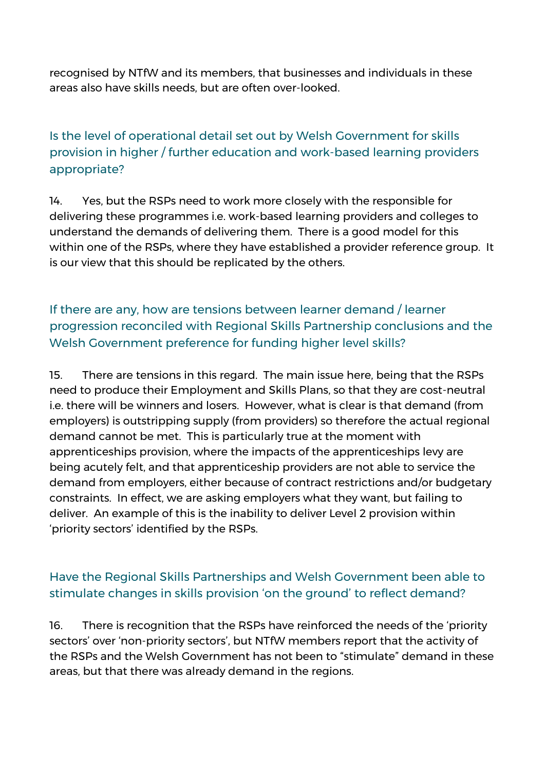recognised by NTfW and its members, that businesses and individuals in these areas also have skills needs, but are often over-looked.

# Is the level of operational detail set out by Welsh Government for skills provision in higher / further education and work-based learning providers appropriate?

14. Yes, but the RSPs need to work more closely with the responsible for delivering these programmes i.e. work-based learning providers and colleges to understand the demands of delivering them. There is a good model for this within one of the RSPs, where they have established a provider reference group. It is our view that this should be replicated by the others.

If there are any, how are tensions between learner demand / learner progression reconciled with Regional Skills Partnership conclusions and the Welsh Government preference for funding higher level skills?

15. There are tensions in this regard. The main issue here, being that the RSPs need to produce their Employment and Skills Plans, so that they are cost-neutral i.e. there will be winners and losers. However, what is clear is that demand (from employers) is outstripping supply (from providers) so therefore the actual regional demand cannot be met. This is particularly true at the moment with apprenticeships provision, where the impacts of the apprenticeships levy are being acutely felt, and that apprenticeship providers are not able to service the demand from employers, either because of contract restrictions and/or budgetary constraints. In effect, we are asking employers what they want, but failing to deliver. An example of this is the inability to deliver Level 2 provision within 'priority sectors' identified by the RSPs.

#### Have the Regional Skills Partnerships and Welsh Government been able to stimulate changes in skills provision 'on the ground' to reflect demand?

16. There is recognition that the RSPs have reinforced the needs of the 'priority sectors' over 'non-priority sectors', but NTfW members report that the activity of the RSPs and the Welsh Government has not been to "stimulate" demand in these areas, but that there was already demand in the regions.